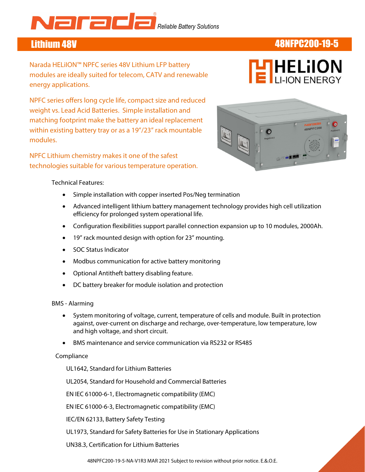# **A CONSOLICIT DE L'AGGIERNE DE L'AGGIERNE DE L'AGGIERNE DE L'AGGIERNE DE LA CONVERTITE DE LA CONVERTITE DE LA CON**

# Lithium 48V 48NFPC200-19-5

Narada HELiION™ NPFC series 48V Lithium LFP battery modules are ideally suited for telecom, CATV and renewable energy applications.



 matching footprint make the battery an ideal replacement NPFC series offers long cycle life, compact size and reduced weight vs. Lead Acid Batteries. Simple installation and within existing battery tray or as a 19"/23" rack mountable modules.

NPFC Lithium chemistry makes it one of the safest technologies suitable for various temperature operation.



### Technical Features:

- Simple installation with copper inserted Pos/Neg termination
- Advanced intelligent lithium battery management technology provides high cell utilization efficiency for prolonged system operational life.
- Configuration flexibilities support parallel connection expansion up to 10 modules, 2000Ah.
- 19" rack mounted design with option for 23" mounting.
- SOC Status Indicator
- Modbus communication for active battery monitoring
- Optional Antitheft battery disabling feature.
- DC battery breaker for module isolation and protection

### BMS - Alarming

- System monitoring of voltage, current, temperature of cells and module. Built in protection against, over-current on discharge and recharge, over-temperature, low temperature, low and high voltage, and short circuit.
- BMS maintenance and service communication via RS232 or RS485

### Compliance

UL1642, Standard for Lithium Batteries

UL2054, Standard for Household and Commercial Batteries

EN IEC 61000-6-1, Electromagnetic compatibility (EMC)

EN IEC 61000-6-3, Electromagnetic compatibility (EMC)

IEC/EN 62133, Battery Safety Testing

UL1973, Standard for Safety Batteries for Use in Stationary Applications

UN38.3, Certification for Lithium Batteries